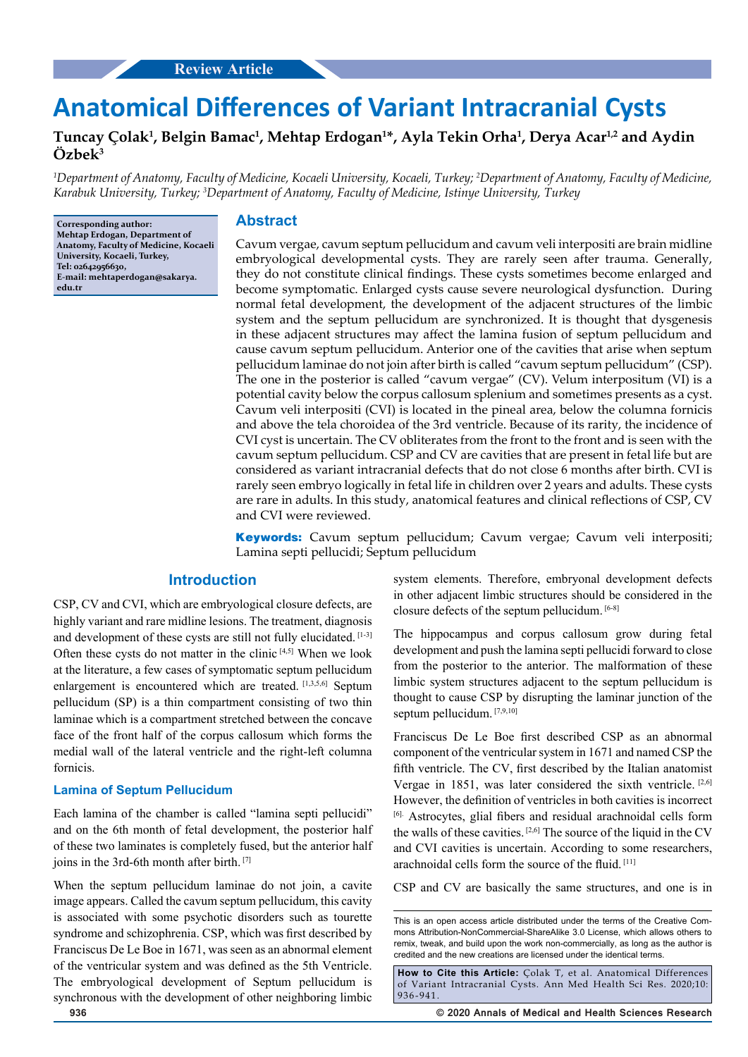# **Anatomical Differences of Variant Intracranial Cysts**

# Tuncay Çolak<sup>1</sup>, Belgin Bamac<sup>1</sup>, Mehtap Erdogan<sup>1</sup>\*, Ayla Tekin Orha<sup>1</sup>, Derya Acar<sup>1,2</sup> and Aydin **Özbek3**

*1 Department of Anatomy, Faculty of Medicine, Kocaeli University, Kocaeli, Turkey; 2 Department of Anatomy, Faculty of Medicine, Karabuk University, Turkey; 3 Department of Anatomy, Faculty of Medicine, Istinye University, Turkey*

**Corresponding author: Mehtap Erdogan, Department of Anatomy, Faculty of Medicine, Kocaeli University, Kocaeli, Turkey, Tel: 02642956630, E-mail: mehtaperdogan@sakarya. edu.tr**

## **Abstract**

Cavum vergae, cavum septum pellucidum and cavum veli interpositi are brain midline embryological developmental cysts. They are rarely seen after trauma. Generally, they do not constitute clinical findings. These cysts sometimes become enlarged and become symptomatic. Enlarged cysts cause severe neurological dysfunction. During normal fetal development, the development of the adjacent structures of the limbic system and the septum pellucidum are synchronized. It is thought that dysgenesis in these adjacent structures may affect the lamina fusion of septum pellucidum and cause cavum septum pellucidum. Anterior one of the cavities that arise when septum pellucidum laminae do not join after birth is called "cavum septum pellucidum" (CSP). The one in the posterior is called "cavum vergae" (CV). Velum interpositum (VI) is a potential cavity below the corpus callosum splenium and sometimes presents as a cyst. Cavum veli interpositi (CVI) is located in the pineal area, below the columna fornicis and above the tela choroidea of the 3rd ventricle. Because of its rarity, the incidence of CVI cyst is uncertain. The CV obliterates from the front to the front and is seen with the cavum septum pellucidum. CSP and CV are cavities that are present in fetal life but are considered as variant intracranial defects that do not close 6 months after birth. CVI is rarely seen embryo logically in fetal life in children over 2 years and adults. These cysts are rare in adults. In this study, anatomical features and clinical reflections of CSP, CV and CVI were reviewed.

**Keywords:** Cavum septum pellucidum; Cavum vergae; Cavum veli interpositi; Lamina septi pellucidi; Septum pellucidum

## **Introduction**

CSP, CV and CVI, which are embryological closure defects, are highly variant and rare midline lesions. The treatment, diagnosis and development of these cysts are still not fully elucidated. [1-3] Often these cysts do not matter in the clinic  $[4,5]$  When we look at the literature, a few cases of symptomatic septum pellucidum enlargement is encountered which are treated. [1,3,5,6] Septum pellucidum (SP) is a thin compartment consisting of two thin laminae which is a compartment stretched between the concave face of the front half of the corpus callosum which forms the medial wall of the lateral ventricle and the right-left columna fornicis.

## **Lamina of Septum Pellucidum**

Each lamina of the chamber is called "lamina septi pellucidi" and on the 6th month of fetal development, the posterior half of these two laminates is completely fused, but the anterior half joins in the 3rd-6th month after birth. [7]

When the septum pellucidum laminae do not join, a cavite image appears. Called the cavum septum pellucidum, this cavity is associated with some psychotic disorders such as tourette syndrome and schizophrenia. CSP, which was first described by Franciscus De Le Boe in 1671, was seen as an abnormal element of the ventricular system and was defined as the 5th Ventricle. The embryological development of Septum pellucidum is synchronous with the development of other neighboring limbic

system elements. Therefore, embryonal development defects in other adjacent limbic structures should be considered in the closure defects of the septum pellucidum. [6-8]

The hippocampus and corpus callosum grow during fetal development and push the lamina septi pellucidi forward to close from the posterior to the anterior. The malformation of these limbic system structures adjacent to the septum pellucidum is thought to cause CSP by disrupting the laminar junction of the septum pellucidum. [7,9,10]

Franciscus De Le Boe first described CSP as an abnormal component of the ventricular system in 1671 and named CSP the fifth ventricle. The CV, first described by the Italian anatomist Vergae in 1851, was later considered the sixth ventricle. [2,6] However, the definition of ventricles in both cavities is incorrect [6]. Astrocytes, glial fibers and residual arachnoidal cells form the walls of these cavities. [2,6] The source of the liquid in the CV and CVI cavities is uncertain. According to some researchers, arachnoidal cells form the source of the fluid. [11]

CSP and CV are basically the same structures, and one is in

**How to Cite this Article:** Çolak T, et al. Anatomical Differences of Variant Intracranial Cysts. Ann Med Health Sci Res. 2020;10: 936-941.

**936 © 2020 Annals of Medical and Health Sciences Research** 

This is an open access article distributed under the terms of the Creative Commons Attribution‑NonCommercial‑ShareAlike 3.0 License, which allows others to remix, tweak, and build upon the work non‑commercially, as long as the author is credited and the new creations are licensed under the identical terms.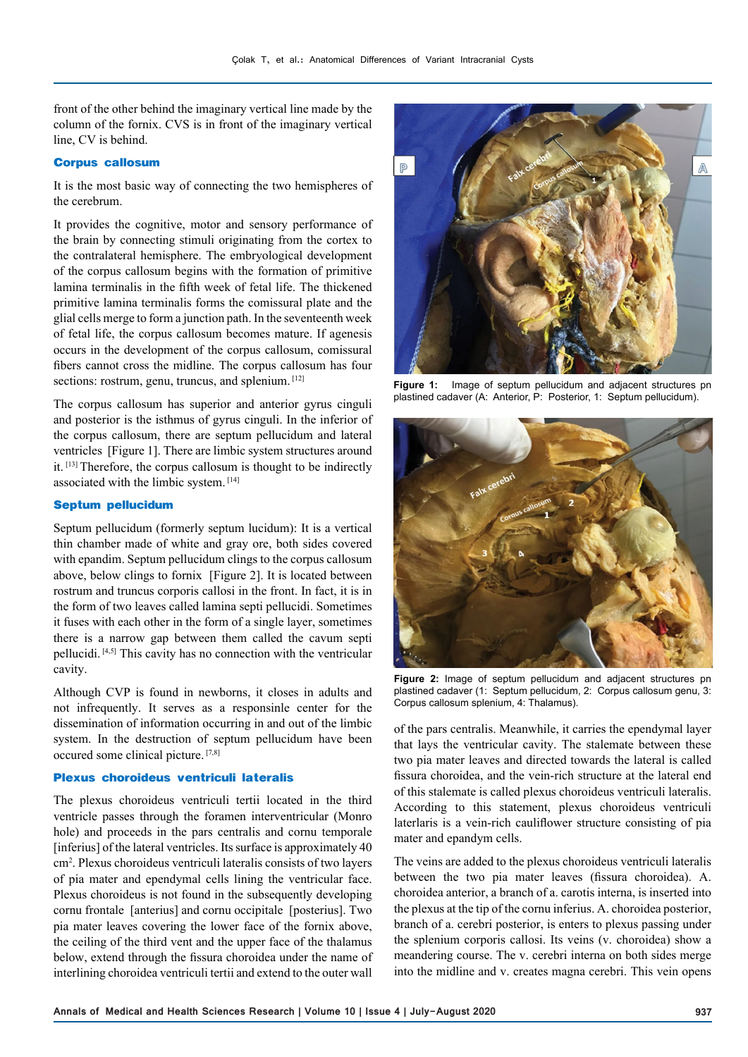front of the other behind the imaginary vertical line made by the column of the fornix. CVS is in front of the imaginary vertical line, CV is behind.

## **Corpus callosum**

It is the most basic way of connecting the two hemispheres of the cerebrum.

It provides the cognitive, motor and sensory performance of the brain by connecting stimuli originating from the cortex to the contralateral hemisphere. The embryological development of the corpus callosum begins with the formation of primitive lamina terminalis in the fifth week of fetal life. The thickened primitive lamina terminalis forms the comissural plate and the glial cells merge to form a junction path. In the seventeenth week of fetal life, the corpus callosum becomes mature. If agenesis occurs in the development of the corpus callosum, comissural fibers cannot cross the midline. The corpus callosum has four sections: rostrum, genu, truncus, and splenium. [12]

The corpus callosum has superior and anterior gyrus cinguli and posterior is the isthmus of gyrus cinguli. In the inferior of the corpus callosum, there are septum pellucidum and lateral ventricles [Figure 1]. There are limbic system structures around it. [13] Therefore, the corpus callosum is thought to be indirectly associated with the limbic system. [14]

#### **Septum pellucidum**

Septum pellucidum (formerly septum lucidum): It is a vertical thin chamber made of white and gray ore, both sides covered with epandim. Septum pellucidum clings to the corpus callosum above, below clings to fornix [Figure 2]. It is located between rostrum and truncus corporis callosi in the front. In fact, it is in the form of two leaves called lamina septi pellucidi. Sometimes it fuses with each other in the form of a single layer, sometimes there is a narrow gap between them called the cavum septi pellucidi. [4,5] This cavity has no connection with the ventricular cavity.

Although CVP is found in newborns, it closes in adults and not infrequently. It serves as a responsinle center for the dissemination of information occurring in and out of the limbic system. In the destruction of septum pellucidum have been occured some clinical picture. [7,8]

#### **Plexus choroideus ventriculi lateralis**

The plexus choroideus ventriculi tertii located in the third ventricle passes through the foramen interventricular (Monro hole) and proceeds in the pars centralis and cornu temporale [inferius] of the lateral ventricles. Its surface is approximately 40 cm2 . Plexus choroideus ventriculi lateralis consists of two layers of pia mater and ependymal cells lining the ventricular face. Plexus choroideus is not found in the subsequently developing cornu frontale [anterius] and cornu occipitale [posterius]. Two pia mater leaves covering the lower face of the fornix above, the ceiling of the third vent and the upper face of the thalamus below, extend through the fissura choroidea under the name of interlining choroidea ventriculi tertii and extend to the outer wall



**Figure 1:** Image of septum pellucidum and adjacent structures pn plastined cadaver (A: Anterior, P: Posterior, 1: Septum pellucidum).



**Figure 2:** Image of septum pellucidum and adjacent structures pn plastined cadaver (1: Septum pellucidum, 2: Corpus callosum genu, 3: Corpus callosum splenium, 4: Thalamus).

of the pars centralis. Meanwhile, it carries the ependymal layer that lays the ventricular cavity. The stalemate between these two pia mater leaves and directed towards the lateral is called fissura choroidea, and the vein-rich structure at the lateral end of this stalemate is called plexus choroideus ventriculi lateralis. According to this statement, plexus choroideus ventriculi laterlaris is a vein-rich cauliflower structure consisting of pia mater and epandym cells.

The veins are added to the plexus choroideus ventriculi lateralis between the two pia mater leaves (fissura choroidea). A. choroidea anterior, a branch of a. carotis interna, is inserted into the plexus at the tip of the cornu inferius. A. choroidea posterior, branch of a. cerebri posterior, is enters to plexus passing under the splenium corporis callosi. Its veins (v. choroidea) show a meandering course. The v. cerebri interna on both sides merge into the midline and v. creates magna cerebri. This vein opens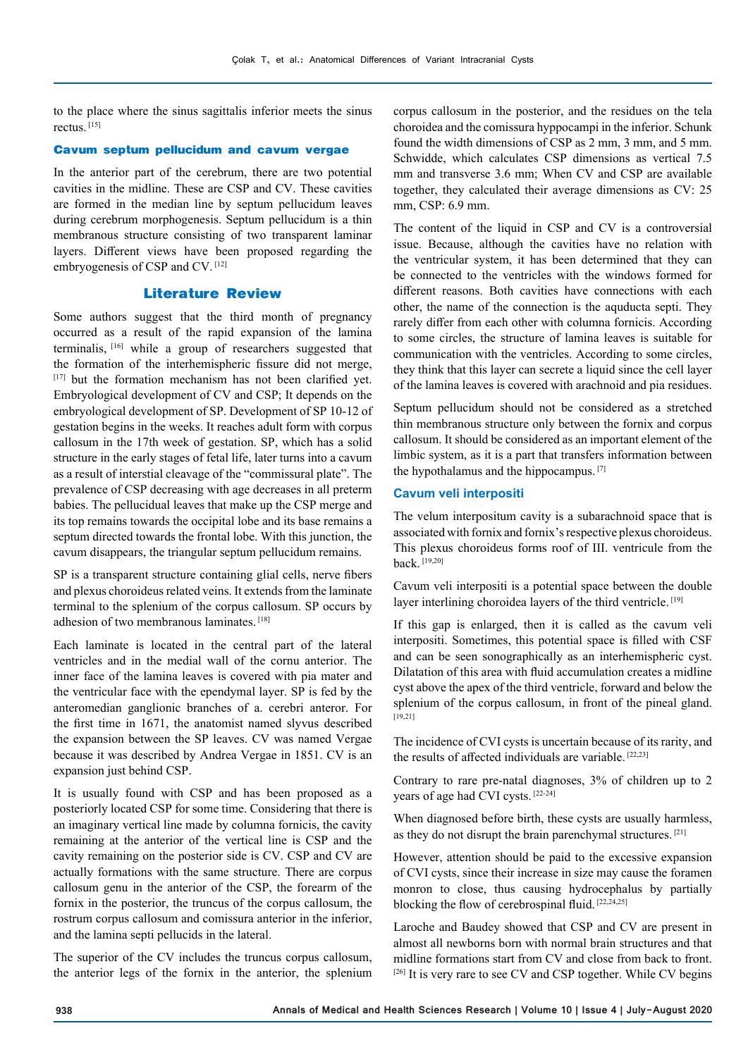to the place where the sinus sagittalis inferior meets the sinus rectus. [15]

#### **Cavum septum pellucidum and cavum vergae**

In the anterior part of the cerebrum, there are two potential cavities in the midline. These are CSP and CV. These cavities are formed in the median line by septum pellucidum leaves during cerebrum morphogenesis. Septum pellucidum is a thin membranous structure consisting of two transparent laminar layers. Different views have been proposed regarding the embryogenesis of CSP and CV. [12]

## **Literature Review**

Some authors suggest that the third month of pregnancy occurred as a result of the rapid expansion of the lamina terminalis, [16] while a group of researchers suggested that the formation of the interhemispheric fissure did not merge, [17] but the formation mechanism has not been clarified yet. Embryological development of CV and CSP; It depends on the embryological development of SP. Development of SP 10-12 of gestation begins in the weeks. It reaches adult form with corpus callosum in the 17th week of gestation. SP, which has a solid structure in the early stages of fetal life, later turns into a cavum as a result of interstial cleavage of the "commissural plate". The prevalence of CSP decreasing with age decreases in all preterm babies. The pellucidual leaves that make up the CSP merge and its top remains towards the occipital lobe and its base remains a septum directed towards the frontal lobe. With this junction, the cavum disappears, the triangular septum pellucidum remains.

SP is a transparent structure containing glial cells, nerve fibers and plexus choroideus related veins. It extends from the laminate terminal to the splenium of the corpus callosum. SP occurs by adhesion of two membranous laminates.<sup>[18]</sup>

Each laminate is located in the central part of the lateral ventricles and in the medial wall of the cornu anterior. The inner face of the lamina leaves is covered with pia mater and the ventricular face with the ependymal layer. SP is fed by the anteromedian ganglionic branches of a. cerebri anteror. For the first time in 1671, the anatomist named slyvus described the expansion between the SP leaves. CV was named Vergae because it was described by Andrea Vergae in 1851. CV is an expansion just behind CSP.

It is usually found with CSP and has been proposed as a posteriorly located CSP for some time. Considering that there is an imaginary vertical line made by columna fornicis, the cavity remaining at the anterior of the vertical line is CSP and the cavity remaining on the posterior side is CV. CSP and CV are actually formations with the same structure. There are corpus callosum genu in the anterior of the CSP, the forearm of the fornix in the posterior, the truncus of the corpus callosum, the rostrum corpus callosum and comissura anterior in the inferior, and the lamina septi pellucids in the lateral.

The superior of the CV includes the truncus corpus callosum, the anterior legs of the fornix in the anterior, the splenium

corpus callosum in the posterior, and the residues on the tela choroidea and the comissura hyppocampi in the inferior. Schunk found the width dimensions of CSP as 2 mm, 3 mm, and 5 mm. Schwidde, which calculates CSP dimensions as vertical 7.5 mm and transverse 3.6 mm; When CV and CSP are available together, they calculated their average dimensions as CV: 25 mm, CSP: 6.9 mm.

The content of the liquid in CSP and CV is a controversial issue. Because, although the cavities have no relation with the ventricular system, it has been determined that they can be connected to the ventricles with the windows formed for different reasons. Both cavities have connections with each other, the name of the connection is the aquducta septi. They rarely differ from each other with columna fornicis. According to some circles, the structure of lamina leaves is suitable for communication with the ventricles. According to some circles, they think that this layer can secrete a liquid since the cell layer of the lamina leaves is covered with arachnoid and pia residues.

Septum pellucidum should not be considered as a stretched thin membranous structure only between the fornix and corpus callosum. It should be considered as an important element of the limbic system, as it is a part that transfers information between the hypothalamus and the hippocampus. [7]

## **Cavum veli interpositi**

The velum interpositum cavity is a subarachnoid space that is associated with fornix and fornix's respective plexus choroideus. This plexus choroideus forms roof of III. ventricule from the back. [19,20]

Cavum veli interpositi is a potential space between the double layer interlining choroidea layers of the third ventricle. [19]

If this gap is enlarged, then it is called as the cavum veli interpositi. Sometimes, this potential space is filled with CSF and can be seen sonographically as an interhemispheric cyst. Dilatation of this area with fluid accumulation creates a midline cyst above the apex of the third ventricle, forward and below the splenium of the corpus callosum, in front of the pineal gland. [19,21]

The incidence of CVI cysts is uncertain because of its rarity, and the results of affected individuals are variable. [22,23]

Contrary to rare pre-natal diagnoses, 3% of children up to 2 years of age had CVI cysts. [22-24]

When diagnosed before birth, these cysts are usually harmless, as they do not disrupt the brain parenchymal structures. [21]

However, attention should be paid to the excessive expansion of CVI cysts, since their increase in size may cause the foramen monron to close, thus causing hydrocephalus by partially blocking the flow of cerebrospinal fluid. [22,24,25]

Laroche and Baudey showed that CSP and CV are present in almost all newborns born with normal brain structures and that midline formations start from CV and close from back to front. [26] It is very rare to see CV and CSP together. While CV begins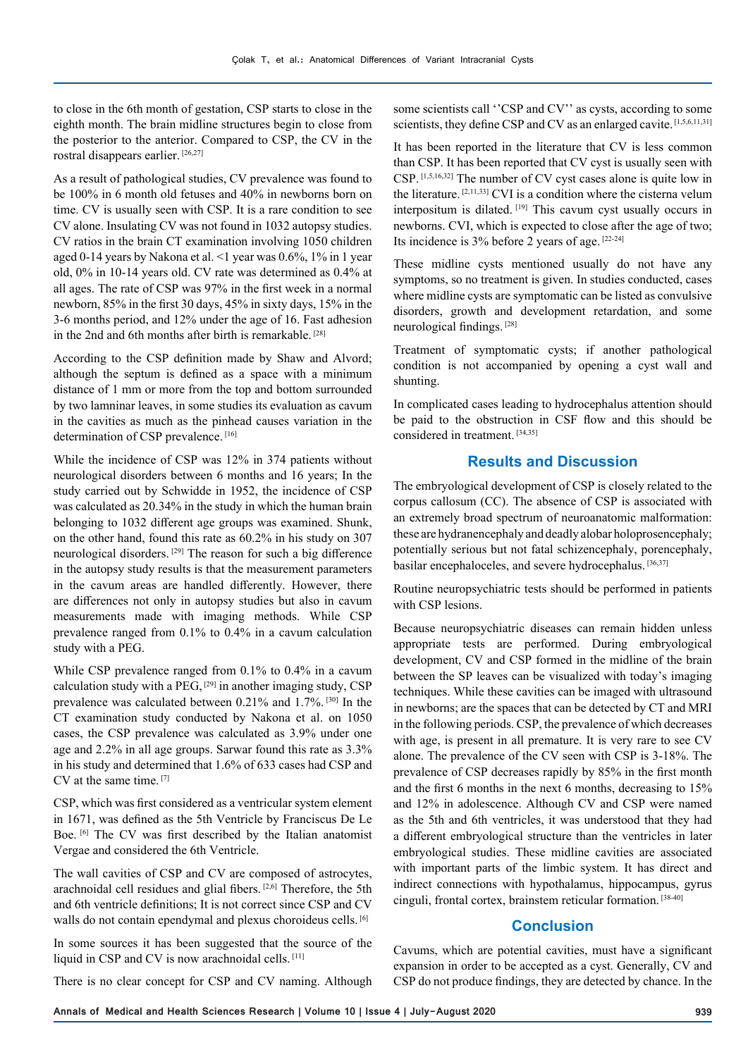to close in the 6th month of gestation, CSP starts to close in the eighth month. The brain midline structures begin to close from the posterior to the anterior. Compared to CSP, the CV in the rostral disappears earlier. [26,27]

As a result of pathological studies, CV prevalence was found to be 100% in 6 month old fetuses and 40% in newborns born on time. CV is usually seen with CSP. It is a rare condition to see CV alone. Insulating CV was not found in 1032 autopsy studies. CV ratios in the brain CT examination involving 1050 children aged 0-14 years by Nakona et al. ˂1 year was 0.6%, 1% in 1 year old, 0% in 10-14 years old. CV rate was determined as 0.4% at all ages. The rate of CSP was 97% in the first week in a normal newborn, 85% in the first 30 days, 45% in sixty days, 15% in the 3-6 months period, and 12% under the age of 16. Fast adhesion in the 2nd and 6th months after birth is remarkable. [28]

According to the CSP definition made by Shaw and Alvord; although the septum is defined as a space with a minimum distance of 1 mm or more from the top and bottom surrounded by two lamninar leaves, in some studies its evaluation as cavum in the cavities as much as the pinhead causes variation in the determination of CSP prevalence.<sup>[16]</sup>

While the incidence of CSP was 12% in 374 patients without neurological disorders between 6 months and 16 years; In the study carried out by Schwidde in 1952, the incidence of CSP was calculated as 20.34% in the study in which the human brain belonging to 1032 different age groups was examined. Shunk, on the other hand, found this rate as 60.2% in his study on 307 neurological disorders. [29] The reason for such a big difference in the autopsy study results is that the measurement parameters in the cavum areas are handled differently. However, there are differences not only in autopsy studies but also in cavum measurements made with imaging methods. While CSP prevalence ranged from 0.1% to 0.4% in a cavum calculation study with a PEG.

While CSP prevalence ranged from 0.1% to 0.4% in a cavum calculation study with a PEG,  $[29]$  in another imaging study, CSP prevalence was calculated between 0.21% and 1.7%. [30] In the CT examination study conducted by Nakona et al. on 1050 cases, the CSP prevalence was calculated as 3.9% under one age and 2.2% in all age groups. Sarwar found this rate as 3.3% in his study and determined that 1.6% of 633 cases had CSP and CV at the same time. [7]

CSP, which was first considered as a ventricular system element in 1671, was defined as the 5th Ventricle by Franciscus De Le Boe. <sup>[6]</sup> The CV was first described by the Italian anatomist Vergae and considered the 6th Ventricle.

The wall cavities of CSP and CV are composed of astrocytes, arachnoidal cell residues and glial fibers. [2,6] Therefore, the 5th and 6th ventricle definitions; It is not correct since CSP and CV walls do not contain ependymal and plexus choroideus cells. [6]

In some sources it has been suggested that the source of the liquid in CSP and CV is now arachnoidal cells. [11]

There is no clear concept for CSP and CV naming. Although

some scientists call "CSP and CV" as cysts, according to some scientists, they define CSP and CV as an enlarged cavite. [1,5,6,11,31]

It has been reported in the literature that CV is less common than CSP. It has been reported that CV cyst is usually seen with CSP. [1,5,16,32] The number of CV cyst cases alone is quite low in the literature.  $[2,11,33]$  CVI is a condition where the cisterna velum interpositum is dilated. [19] This cavum cyst usually occurs in newborns. CVI, which is expected to close after the age of two; Its incidence is 3% before 2 years of age. [22-24]

These midline cysts mentioned usually do not have any symptoms, so no treatment is given. In studies conducted, cases where midline cysts are symptomatic can be listed as convulsive disorders, growth and development retardation, and some neurological findings. [28]

Treatment of symptomatic cysts; if another pathological condition is not accompanied by opening a cyst wall and shunting.

In complicated cases leading to hydrocephalus attention should be paid to the obstruction in CSF flow and this should be considered in treatment. [34,35]

## **Results and Discussion**

The embryological development of CSP is closely related to the corpus callosum (CC). The absence of CSP is associated with an extremely broad spectrum of neuroanatomic malformation: these are hydranencephaly and deadly alobar holoprosencephaly; potentially serious but not fatal schizencephaly, porencephaly, basilar encephaloceles, and severe hydrocephalus. [36,37]

Routine neuropsychiatric tests should be performed in patients with CSP lesions.

Because neuropsychiatric diseases can remain hidden unless appropriate tests are performed. During embryological development, CV and CSP formed in the midline of the brain between the SP leaves can be visualized with today's imaging techniques. While these cavities can be imaged with ultrasound in newborns; are the spaces that can be detected by CT and MRI in the following periods. CSP, the prevalence of which decreases with age, is present in all premature. It is very rare to see CV alone. The prevalence of the CV seen with CSP is 3-18%. The prevalence of CSP decreases rapidly by 85% in the first month and the first 6 months in the next 6 months, decreasing to 15% and 12% in adolescence. Although CV and CSP were named as the 5th and 6th ventricles, it was understood that they had a different embryological structure than the ventricles in later embryological studies. These midline cavities are associated with important parts of the limbic system. It has direct and indirect connections with hypothalamus, hippocampus, gyrus cinguli, frontal cortex, brainstem reticular formation. [38-40]

## **Conclusion**

Cavums, which are potential cavities, must have a significant expansion in order to be accepted as a cyst. Generally, CV and CSP do not produce findings, they are detected by chance. In the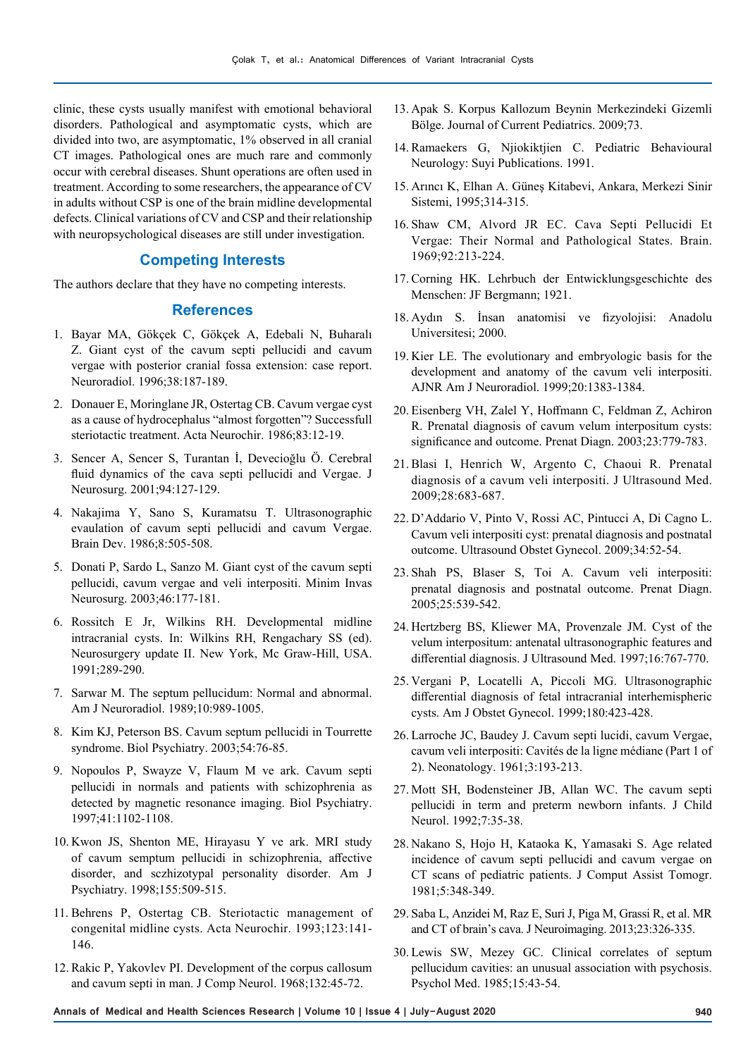clinic, these cysts usually manifest with emotional behavioral disorders. Pathological and asymptomatic cysts, which are divided into two, are asymptomatic, 1% observed in all cranial CT images. Pathological ones are much rare and commonly occur with cerebral diseases. Shunt operations are often used in treatment. According to some researchers, the appearance of CV in adults without CSP is one of the brain midline developmental defects. Clinical variations of CV and CSP and their relationship with neuropsychological diseases are still under investigation.

## **Competing Interests**

The authors declare that they have no competing interests.

## **References**

- 1. Bayar MA, Gökçek C, Gökçek A, Edebali N, Buharalı Z. Giant cyst of the cavum septi pellucidi and cavum vergae with posterior cranial fossa extension: case report. Neuroradiol. 1996;38:187-189.
- 2. Donauer E, Moringlane JR, Ostertag CB. Cavum vergae cyst as a cause of hydrocephalus "almost forgotten"? Successfull steriotactic treatment. Acta Neurochir. 1986;83:12-19.
- 3. Sencer A, Sencer S, Turantan İ, Devecioğlu Ö. Cerebral fluid dynamics of the cava septi pellucidi and Vergae. J Neurosurg. 2001;94:127-129.
- 4. Nakajima Y, Sano S, Kuramatsu T. Ultrasonographic evaulation of cavum septi pellucidi and cavum Vergae. Brain Dev. 1986;8:505-508.
- 5. Donati P, Sardo L, Sanzo M. Giant cyst of the cavum septi pellucidi, cavum vergae and veli interpositi. Minim Invas Neurosurg. 2003;46:177-181.
- 6. Rossitch E Jr, Wilkins RH. Developmental midline intracranial cysts. In: Wilkins RH, Rengachary SS (ed). Neurosurgery update II. New York, Mc Graw-Hill, USA. 1991;289-290.
- 7. Sarwar M. The septum pellucidum: Normal and abnormal. Am J Neuroradiol. 1989;10:989-1005.
- 8. Kim KJ, Peterson BS. Cavum septum pellucidi in Tourrette syndrome. Biol Psychiatry. 2003;54:76-85.
- 9. Nopoulos P, Swayze V, Flaum M ve ark. Cavum septi pellucidi in normals and patients with schizophrenia as detected by magnetic resonance imaging. Biol Psychiatry. 1997;41:1102-1108.
- 10. Kwon JS, Shenton ME, Hirayasu Y ve ark. MRI study of cavum semptum pellucidi in schizophrenia, affective disorder, and sczhizotypal personality disorder. Am J Psychiatry. 1998;155:509-515.
- 11. Behrens P, Ostertag CB. Steriotactic management of congenital midline cysts. Acta Neurochir. 1993;123:141- 146.
- 12. Rakic P, Yakovlev PI. Development of the corpus callosum and cavum septi in man. J Comp Neurol. 1968;132:45-72.
- 13. Apak S. Korpus Kallozum Beynin Merkezindeki Gizemli Bölge. Journal of Current Pediatrics. 2009;73.
- 14. Ramaekers G, Njiokiktjien C. Pediatric Behavioural Neurology: Suyi Publications. 1991.
- 15. Arıncı K, Elhan A. Güneş Kitabevi, Ankara, Merkezi Sinir Sistemi, 1995;314-315.
- 16. Shaw CM, Alvord JR EC. Cava Septi Pellucidi Et Vergae: Their Normal and Pathological States. Brain. 1969;92:213-224.
- 17. Corning HK. Lehrbuch der Entwicklungsgeschichte des Menschen: JF Bergmann; 1921.
- 18. Aydın S. İnsan anatomisi ve fizyolojisi: Anadolu Universitesi; 2000.
- 19. Kier LE. The evolutionary and embryologic basis for the development and anatomy of the cavum veli interpositi. AJNR Am J Neuroradiol. 1999;20:1383-1384.
- 20. Eisenberg VH, Zalel Y, Hoffmann C, Feldman Z, Achiron R. Prenatal diagnosis of cavum velum interpositum cysts: significance and outcome. Prenat Diagn. 2003;23:779-783.
- 21. Blasi I, Henrich W, Argento C, Chaoui R. Prenatal diagnosis of a cavum veli interpositi. J Ultrasound Med. 2009;28:683-687.
- 22. D'Addario V, Pinto V, Rossi AC, Pintucci A, Di Cagno L. Cavum veli interpositi cyst: prenatal diagnosis and postnatal outcome. Ultrasound Obstet Gynecol. 2009;34:52-54.
- 23. Shah PS, Blaser S, Toi A. Cavum veli interpositi: prenatal diagnosis and postnatal outcome. Prenat Diagn. 2005;25:539-542.
- 24. Hertzberg BS, Kliewer MA, Provenzale JM. Cyst of the velum interpositum: antenatal ultrasonographic features and differential diagnosis. J Ultrasound Med. 1997;16:767-770.
- 25. Vergani P, Locatelli A, Piccoli MG. Ultrasonographic differential diagnosis of fetal intracranial interhemispheric cysts. Am J Obstet Gynecol. 1999;180:423-428.
- 26. Larroche JC, Baudey J. Cavum septi lucidi, cavum Vergae, cavum veli interpositi: Cavités de la ligne médiane (Part 1 of 2). Neonatology. 1961;3:193-213.
- 27. Mott SH, Bodensteiner JB, Allan WC. The cavum septi pellucidi in term and preterm newborn infants. J Child Neurol. 1992;7:35-38.
- 28. Nakano S, Hojo H, Kataoka K, Yamasaki S. Age related incidence of cavum septi pellucidi and cavum vergae on CT scans of pediatric patients. J Comput Assist Tomogr. 1981;5:348-349.
- 29. Saba L, Anzidei M, Raz E, Suri J, Piga M, Grassi R, et al. MR and CT of brain's cava. J Neuroimaging. 2013;23:326-335.
- 30. Lewis SW, Mezey GC. Clinical correlates of septum pellucidum cavities: an unusual association with psychosis. Psychol Med. 1985;15:43-54.